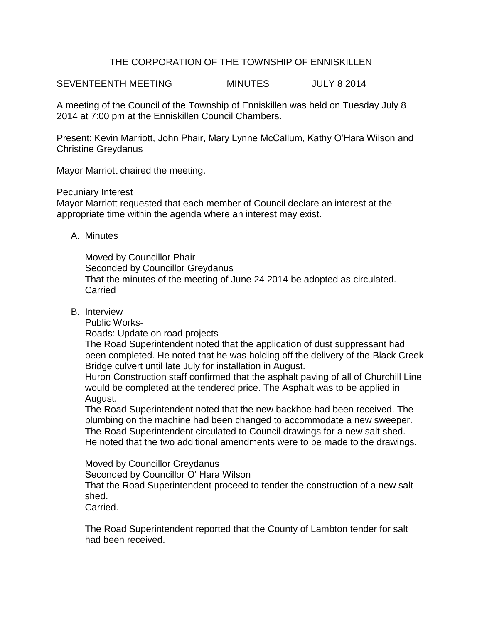## THE CORPORATION OF THE TOWNSHIP OF ENNISKILLEN

SEVENTEENTH MEETING MINUTES JULY 8 2014

A meeting of the Council of the Township of Enniskillen was held on Tuesday July 8 2014 at 7:00 pm at the Enniskillen Council Chambers.

Present: Kevin Marriott, John Phair, Mary Lynne McCallum, Kathy O'Hara Wilson and Christine Greydanus

Mayor Marriott chaired the meeting.

Pecuniary Interest

Mayor Marriott requested that each member of Council declare an interest at the appropriate time within the agenda where an interest may exist.

A. Minutes

Moved by Councillor Phair Seconded by Councillor Greydanus That the minutes of the meeting of June 24 2014 be adopted as circulated. **Carried** 

B. Interview

Public Works-

Roads: Update on road projects-

The Road Superintendent noted that the application of dust suppressant had been completed. He noted that he was holding off the delivery of the Black Creek Bridge culvert until late July for installation in August.

Huron Construction staff confirmed that the asphalt paving of all of Churchill Line would be completed at the tendered price. The Asphalt was to be applied in August.

The Road Superintendent noted that the new backhoe had been received. The plumbing on the machine had been changed to accommodate a new sweeper. The Road Superintendent circulated to Council drawings for a new salt shed. He noted that the two additional amendments were to be made to the drawings.

Moved by Councillor Greydanus Seconded by Councillor O' Hara Wilson That the Road Superintendent proceed to tender the construction of a new salt shed. Carried.

The Road Superintendent reported that the County of Lambton tender for salt had been received.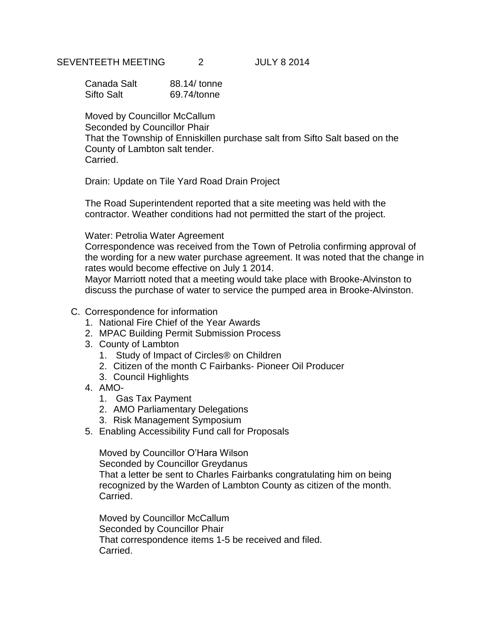### SEVENTEETH MEETING 2 JULY 8 2014

| Canada Salt | 88.14/ tonne |
|-------------|--------------|
| Sifto Salt  | 69.74/tonne  |

Moved by Councillor McCallum Seconded by Councillor Phair That the Township of Enniskillen purchase salt from Sifto Salt based on the County of Lambton salt tender. Carried.

Drain: Update on Tile Yard Road Drain Project

The Road Superintendent reported that a site meeting was held with the contractor. Weather conditions had not permitted the start of the project.

#### Water: Petrolia Water Agreement

Correspondence was received from the Town of Petrolia confirming approval of the wording for a new water purchase agreement. It was noted that the change in rates would become effective on July 1 2014.

Mayor Marriott noted that a meeting would take place with Brooke-Alvinston to discuss the purchase of water to service the pumped area in Brooke-Alvinston.

- C. Correspondence for information
	- 1. National Fire Chief of the Year Awards
	- 2. MPAC Building Permit Submission Process
	- 3. County of Lambton
		- 1. Study of Impact of Circles® on Children
		- 2. Citizen of the month C Fairbanks- Pioneer Oil Producer
		- 3. Council Highlights
	- 4. AMO-
		- 1. Gas Tax Payment
		- 2. AMO Parliamentary Delegations
		- 3. Risk Management Symposium
	- 5. Enabling Accessibility Fund call for Proposals

Moved by Councillor O'Hara Wilson

Seconded by Councillor Greydanus

That a letter be sent to Charles Fairbanks congratulating him on being recognized by the Warden of Lambton County as citizen of the month. Carried.

Moved by Councillor McCallum Seconded by Councillor Phair That correspondence items 1-5 be received and filed. Carried.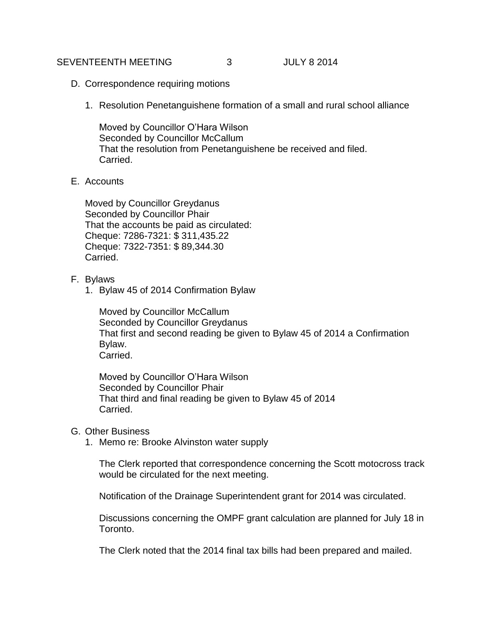#### SEVENTEENTH MEETING 3 JULY 8 2014

- D. Correspondence requiring motions
	- 1. Resolution Penetanguishene formation of a small and rural school alliance

Moved by Councillor O'Hara Wilson Seconded by Councillor McCallum That the resolution from Penetanguishene be received and filed. Carried.

E. Accounts

Moved by Councillor Greydanus Seconded by Councillor Phair That the accounts be paid as circulated: Cheque: 7286-7321: \$ 311,435.22 Cheque: 7322-7351: \$ 89,344.30 Carried.

- F. Bylaws
	- 1. Bylaw 45 of 2014 Confirmation Bylaw

Moved by Councillor McCallum Seconded by Councillor Greydanus That first and second reading be given to Bylaw 45 of 2014 a Confirmation Bylaw. Carried.

Moved by Councillor O'Hara Wilson Seconded by Councillor Phair That third and final reading be given to Bylaw 45 of 2014 Carried.

- G. Other Business
	- 1. Memo re: Brooke Alvinston water supply

The Clerk reported that correspondence concerning the Scott motocross track would be circulated for the next meeting.

Notification of the Drainage Superintendent grant for 2014 was circulated.

Discussions concerning the OMPF grant calculation are planned for July 18 in Toronto.

The Clerk noted that the 2014 final tax bills had been prepared and mailed.